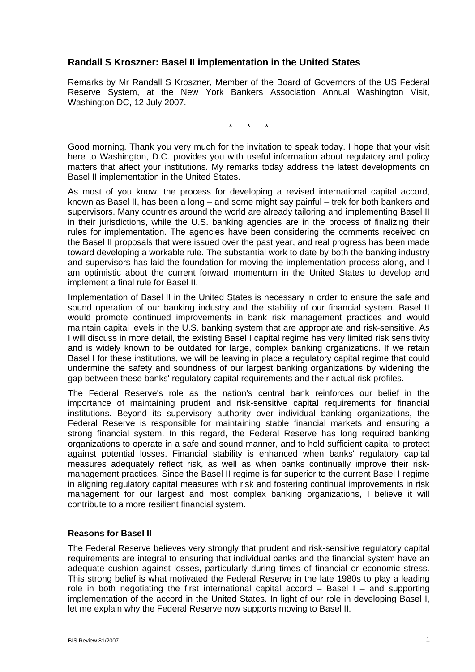## **Randall S Kroszner: Basel II implementation in the United States**

Remarks by Mr Randall S Kroszner, Member of the Board of Governors of the US Federal Reserve System, at the New York Bankers Association Annual Washington Visit, Washington DC, 12 July 2007.

\* \* \*

Good morning. Thank you very much for the invitation to speak today. I hope that your visit here to Washington, D.C. provides you with useful information about regulatory and policy matters that affect your institutions. My remarks today address the latest developments on Basel II implementation in the United States.

As most of you know, the process for developing a revised international capital accord, known as Basel II, has been a long – and some might say painful – trek for both bankers and supervisors. Many countries around the world are already tailoring and implementing Basel II in their jurisdictions, while the U.S. banking agencies are in the process of finalizing their rules for implementation. The agencies have been considering the comments received on the Basel II proposals that were issued over the past year, and real progress has been made toward developing a workable rule. The substantial work to date by both the banking industry and supervisors has laid the foundation for moving the implementation process along, and I am optimistic about the current forward momentum in the United States to develop and implement a final rule for Basel II.

Implementation of Basel II in the United States is necessary in order to ensure the safe and sound operation of our banking industry and the stability of our financial system. Basel II would promote continued improvements in bank risk management practices and would maintain capital levels in the U.S. banking system that are appropriate and risk-sensitive. As I will discuss in more detail, the existing Basel I capital regime has very limited risk sensitivity and is widely known to be outdated for large, complex banking organizations. If we retain Basel I for these institutions, we will be leaving in place a regulatory capital regime that could undermine the safety and soundness of our largest banking organizations by widening the gap between these banks' regulatory capital requirements and their actual risk profiles.

The Federal Reserve's role as the nation's central bank reinforces our belief in the importance of maintaining prudent and risk-sensitive capital requirements for financial institutions. Beyond its supervisory authority over individual banking organizations, the Federal Reserve is responsible for maintaining stable financial markets and ensuring a strong financial system. In this regard, the Federal Reserve has long required banking organizations to operate in a safe and sound manner, and to hold sufficient capital to protect against potential losses. Financial stability is enhanced when banks' regulatory capital measures adequately reflect risk, as well as when banks continually improve their riskmanagement practices. Since the Basel II regime is far superior to the current Basel I regime in aligning regulatory capital measures with risk and fostering continual improvements in risk management for our largest and most complex banking organizations, I believe it will contribute to a more resilient financial system.

## **Reasons for Basel II**

The Federal Reserve believes very strongly that prudent and risk-sensitive regulatory capital requirements are integral to ensuring that individual banks and the financial system have an adequate cushion against losses, particularly during times of financial or economic stress. This strong belief is what motivated the Federal Reserve in the late 1980s to play a leading role in both negotiating the first international capital accord  $-$  Basel I  $-$  and supporting implementation of the accord in the United States. In light of our role in developing Basel I, let me explain why the Federal Reserve now supports moving to Basel II.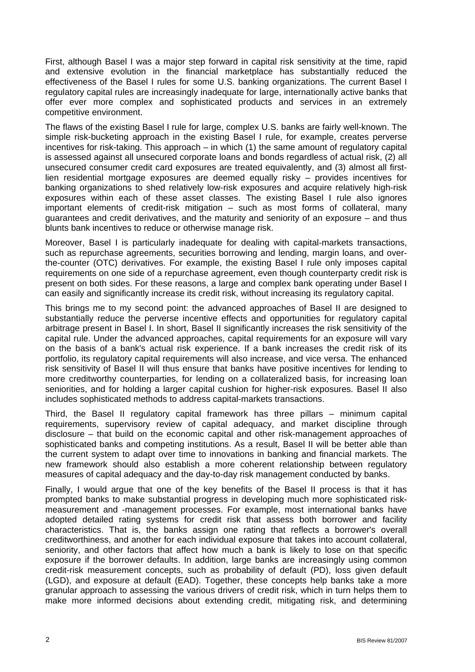First, although Basel I was a major step forward in capital risk sensitivity at the time, rapid and extensive evolution in the financial marketplace has substantially reduced the effectiveness of the Basel I rules for some U.S. banking organizations. The current Basel I regulatory capital rules are increasingly inadequate for large, internationally active banks that offer ever more complex and sophisticated products and services in an extremely competitive environment.

The flaws of the existing Basel I rule for large, complex U.S. banks are fairly well-known. The simple risk-bucketing approach in the existing Basel I rule, for example, creates perverse incentives for risk-taking. This approach – in which (1) the same amount of regulatory capital is assessed against all unsecured corporate loans and bonds regardless of actual risk, (2) all unsecured consumer credit card exposures are treated equivalently, and (3) almost all firstlien residential mortgage exposures are deemed equally risky – provides incentives for banking organizations to shed relatively low-risk exposures and acquire relatively high-risk exposures within each of these asset classes. The existing Basel I rule also ignores important elements of credit-risk mitigation – such as most forms of collateral, many guarantees and credit derivatives, and the maturity and seniority of an exposure – and thus blunts bank incentives to reduce or otherwise manage risk.

Moreover, Basel I is particularly inadequate for dealing with capital-markets transactions, such as repurchase agreements, securities borrowing and lending, margin loans, and overthe-counter (OTC) derivatives. For example, the existing Basel I rule only imposes capital requirements on one side of a repurchase agreement, even though counterparty credit risk is present on both sides. For these reasons, a large and complex bank operating under Basel I can easily and significantly increase its credit risk, without increasing its regulatory capital.

This brings me to my second point: the advanced approaches of Basel II are designed to substantially reduce the perverse incentive effects and opportunities for regulatory capital arbitrage present in Basel I. In short, Basel II significantly increases the risk sensitivity of the capital rule. Under the advanced approaches, capital requirements for an exposure will vary on the basis of a bank's actual risk experience. If a bank increases the credit risk of its portfolio, its regulatory capital requirements will also increase, and vice versa. The enhanced risk sensitivity of Basel II will thus ensure that banks have positive incentives for lending to more creditworthy counterparties, for lending on a collateralized basis, for increasing loan seniorities, and for holding a larger capital cushion for higher-risk exposures. Basel II also includes sophisticated methods to address capital-markets transactions.

Third, the Basel II regulatory capital framework has three pillars – minimum capital requirements, supervisory review of capital adequacy, and market discipline through disclosure – that build on the economic capital and other risk-management approaches of sophisticated banks and competing institutions. As a result, Basel II will be better able than the current system to adapt over time to innovations in banking and financial markets. The new framework should also establish a more coherent relationship between regulatory measures of capital adequacy and the day-to-day risk management conducted by banks.

Finally, I would argue that one of the key benefits of the Basel II process is that it has prompted banks to make substantial progress in developing much more sophisticated riskmeasurement and -management processes. For example, most international banks have adopted detailed rating systems for credit risk that assess both borrower and facility characteristics. That is, the banks assign one rating that reflects a borrower's overall creditworthiness, and another for each individual exposure that takes into account collateral, seniority, and other factors that affect how much a bank is likely to lose on that specific exposure if the borrower defaults. In addition, large banks are increasingly using common credit-risk measurement concepts, such as probability of default (PD), loss given default (LGD), and exposure at default (EAD). Together, these concepts help banks take a more granular approach to assessing the various drivers of credit risk, which in turn helps them to make more informed decisions about extending credit, mitigating risk, and determining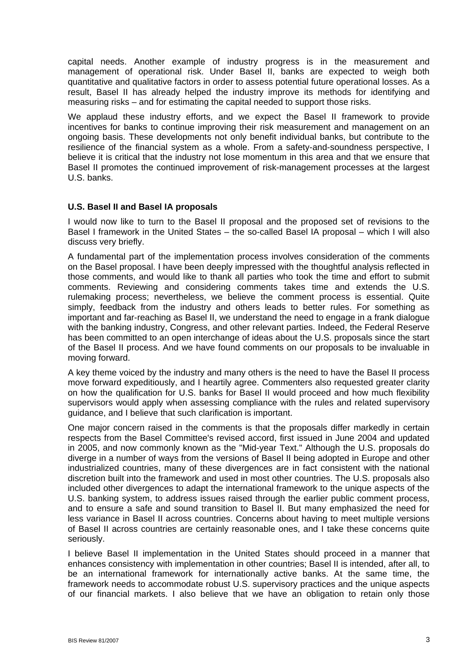capital needs. Another example of industry progress is in the measurement and management of operational risk. Under Basel II, banks are expected to weigh both quantitative and qualitative factors in order to assess potential future operational losses. As a result, Basel II has already helped the industry improve its methods for identifying and measuring risks – and for estimating the capital needed to support those risks.

We applaud these industry efforts, and we expect the Basel II framework to provide incentives for banks to continue improving their risk measurement and management on an ongoing basis. These developments not only benefit individual banks, but contribute to the resilience of the financial system as a whole. From a safety-and-soundness perspective, I believe it is critical that the industry not lose momentum in this area and that we ensure that Basel II promotes the continued improvement of risk-management processes at the largest U.S. banks.

## **U.S. Basel II and Basel IA proposals**

I would now like to turn to the Basel II proposal and the proposed set of revisions to the Basel I framework in the United States – the so-called Basel IA proposal – which I will also discuss very briefly.

A fundamental part of the implementation process involves consideration of the comments on the Basel proposal. I have been deeply impressed with the thoughtful analysis reflected in those comments, and would like to thank all parties who took the time and effort to submit comments. Reviewing and considering comments takes time and extends the U.S. rulemaking process; nevertheless, we believe the comment process is essential. Quite simply, feedback from the industry and others leads to better rules. For something as important and far-reaching as Basel II, we understand the need to engage in a frank dialogue with the banking industry, Congress, and other relevant parties. Indeed, the Federal Reserve has been committed to an open interchange of ideas about the U.S. proposals since the start of the Basel II process. And we have found comments on our proposals to be invaluable in moving forward.

A key theme voiced by the industry and many others is the need to have the Basel II process move forward expeditiously, and I heartily agree. Commenters also requested greater clarity on how the qualification for U.S. banks for Basel II would proceed and how much flexibility supervisors would apply when assessing compliance with the rules and related supervisory guidance, and I believe that such clarification is important.

One major concern raised in the comments is that the proposals differ markedly in certain respects from the Basel Committee's revised accord, first issued in June 2004 and updated in 2005, and now commonly known as the "Mid-year Text." Although the U.S. proposals do diverge in a number of ways from the versions of Basel II being adopted in Europe and other industrialized countries, many of these divergences are in fact consistent with the national discretion built into the framework and used in most other countries. The U.S. proposals also included other divergences to adapt the international framework to the unique aspects of the U.S. banking system, to address issues raised through the earlier public comment process, and to ensure a safe and sound transition to Basel II. But many emphasized the need for less variance in Basel II across countries. Concerns about having to meet multiple versions of Basel II across countries are certainly reasonable ones, and I take these concerns quite seriously.

I believe Basel II implementation in the United States should proceed in a manner that enhances consistency with implementation in other countries; Basel II is intended, after all, to be an international framework for internationally active banks. At the same time, the framework needs to accommodate robust U.S. supervisory practices and the unique aspects of our financial markets. I also believe that we have an obligation to retain only those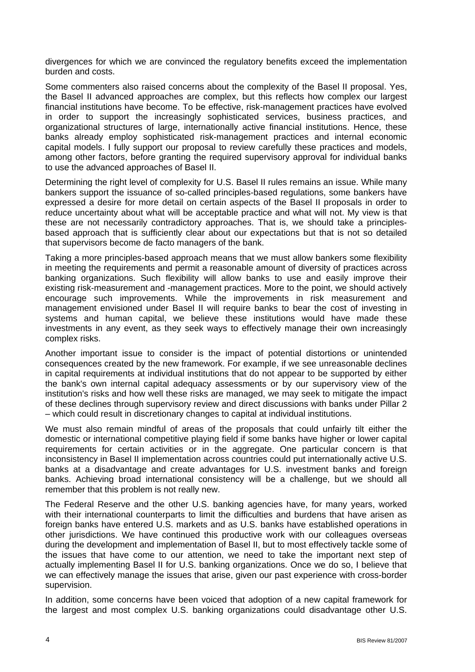divergences for which we are convinced the regulatory benefits exceed the implementation burden and costs.

Some commenters also raised concerns about the complexity of the Basel II proposal. Yes, the Basel II advanced approaches are complex, but this reflects how complex our largest financial institutions have become. To be effective, risk-management practices have evolved in order to support the increasingly sophisticated services, business practices, and organizational structures of large, internationally active financial institutions. Hence, these banks already employ sophisticated risk-management practices and internal economic capital models. I fully support our proposal to review carefully these practices and models, among other factors, before granting the required supervisory approval for individual banks to use the advanced approaches of Basel II.

Determining the right level of complexity for U.S. Basel II rules remains an issue. While many bankers support the issuance of so-called principles-based regulations, some bankers have expressed a desire for more detail on certain aspects of the Basel II proposals in order to reduce uncertainty about what will be acceptable practice and what will not. My view is that these are not necessarily contradictory approaches. That is, we should take a principlesbased approach that is sufficiently clear about our expectations but that is not so detailed that supervisors become de facto managers of the bank.

Taking a more principles-based approach means that we must allow bankers some flexibility in meeting the requirements and permit a reasonable amount of diversity of practices across banking organizations. Such flexibility will allow banks to use and easily improve their existing risk-measurement and -management practices. More to the point, we should actively encourage such improvements. While the improvements in risk measurement and management envisioned under Basel II will require banks to bear the cost of investing in systems and human capital, we believe these institutions would have made these investments in any event, as they seek ways to effectively manage their own increasingly complex risks.

Another important issue to consider is the impact of potential distortions or unintended consequences created by the new framework. For example, if we see unreasonable declines in capital requirements at individual institutions that do not appear to be supported by either the bank's own internal capital adequacy assessments or by our supervisory view of the institution's risks and how well these risks are managed, we may seek to mitigate the impact of these declines through supervisory review and direct discussions with banks under Pillar 2 – which could result in discretionary changes to capital at individual institutions.

We must also remain mindful of areas of the proposals that could unfairly tilt either the domestic or international competitive playing field if some banks have higher or lower capital requirements for certain activities or in the aggregate. One particular concern is that inconsistency in Basel II implementation across countries could put internationally active U.S. banks at a disadvantage and create advantages for U.S. investment banks and foreign banks. Achieving broad international consistency will be a challenge, but we should all remember that this problem is not really new.

The Federal Reserve and the other U.S. banking agencies have, for many years, worked with their international counterparts to limit the difficulties and burdens that have arisen as foreign banks have entered U.S. markets and as U.S. banks have established operations in other jurisdictions. We have continued this productive work with our colleagues overseas during the development and implementation of Basel II, but to most effectively tackle some of the issues that have come to our attention, we need to take the important next step of actually implementing Basel II for U.S. banking organizations. Once we do so, I believe that we can effectively manage the issues that arise, given our past experience with cross-border supervision.

In addition, some concerns have been voiced that adoption of a new capital framework for the largest and most complex U.S. banking organizations could disadvantage other U.S.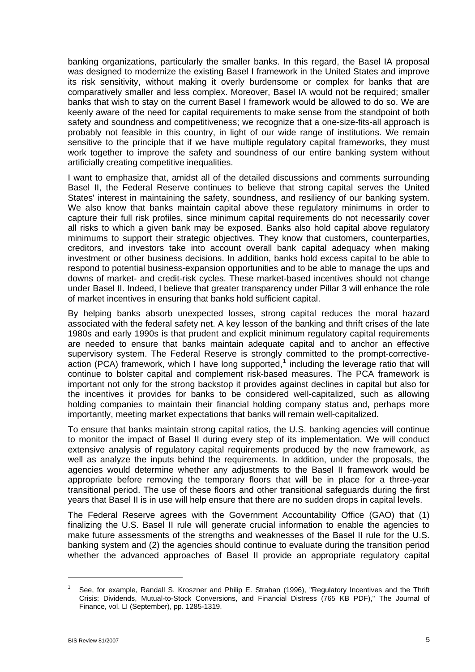banking organizations, particularly the smaller banks. In this regard, the Basel IA proposal was designed to modernize the existing Basel I framework in the United States and improve its risk sensitivity, without making it overly burdensome or complex for banks that are comparatively smaller and less complex. Moreover, Basel IA would not be required; smaller banks that wish to stay on the current Basel I framework would be allowed to do so. We are keenly aware of the need for capital requirements to make sense from the standpoint of both safety and soundness and competitiveness; we recognize that a one-size-fits-all approach is probably not feasible in this country, in light of our wide range of institutions. We remain sensitive to the principle that if we have multiple regulatory capital frameworks, they must work together to improve the safety and soundness of our entire banking system without artificially creating competitive inequalities.

I want to emphasize that, amidst all of the detailed discussions and comments surrounding Basel II, the Federal Reserve continues to believe that strong capital serves the United States' interest in maintaining the safety, soundness, and resiliency of our banking system. We also know that banks maintain capital above these regulatory minimums in order to capture their full risk profiles, since minimum capital requirements do not necessarily cover all risks to which a given bank may be exposed. Banks also hold capital above regulatory minimums to support their strategic objectives. They know that customers, counterparties, creditors, and investors take into account overall bank capital adequacy when making investment or other business decisions. In addition, banks hold excess capital to be able to respond to potential business-expansion opportunities and to be able to manage the ups and downs of market- and credit-risk cycles. These market-based incentives should not change under Basel II. Indeed, I believe that greater transparency under Pillar 3 will enhance the role of market incentives in ensuring that banks hold sufficient capital.

By helping banks absorb unexpected losses, strong capital reduces the moral hazard associated with the federal safety net. A key lesson of the banking and thrift crises of the late 1980s and early 1990s is that prudent and explicit minimum regulatory capital requirements are needed to ensure that banks maintain adequate capital and to anchor an effective supervisory system. The Federal Reserve is strongly committed to the prompt-corrective-action (PCA) framework, which I have long supported,<sup>[1](#page-4-0)</sup> including the leverage ratio that will continue to bolster capital and complement risk-based measures. The PCA framework is important not only for the strong backstop it provides against declines in capital but also for the incentives it provides for banks to be considered well-capitalized, such as allowing holding companies to maintain their financial holding company status and, perhaps more importantly, meeting market expectations that banks will remain well-capitalized.

To ensure that banks maintain strong capital ratios, the U.S. banking agencies will continue to monitor the impact of Basel II during every step of its implementation. We will conduct extensive analysis of regulatory capital requirements produced by the new framework, as well as analyze the inputs behind the requirements. In addition, under the proposals, the agencies would determine whether any adjustments to the Basel II framework would be appropriate before removing the temporary floors that will be in place for a three-year transitional period. The use of these floors and other transitional safeguards during the first years that Basel II is in use will help ensure that there are no sudden drops in capital levels.

The Federal Reserve agrees with the Government Accountability Office (GAO) that (1) finalizing the U.S. Basel II rule will generate crucial information to enable the agencies to make future assessments of the strengths and weaknesses of the Basel II rule for the U.S. banking system and (2) the agencies should continue to evaluate during the transition period whether the advanced approaches of Basel II provide an appropriate regulatory capital

 $\overline{a}$ 

<span id="page-4-0"></span><sup>1</sup> See, for example, Randall S. Kroszner and Philip E. Strahan (1996), "Regulatory Incentives and the Thrift Crisis: Dividends, Mutual-to-Stock Conversions, and Financial Distress (765 KB PDF)," The Journal of Finance, vol. LI (September), pp. 1285-1319.